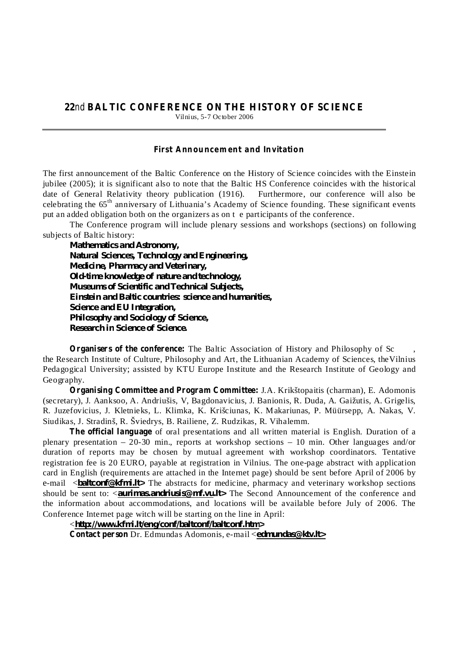## **22 BALTIC CONFERENCE ON THE HISTORY OF SCIENCE** nd

Vilnius, 5-7 October 2006

## *Fir st Ann ou ncem ent and In vit ation*

The first announcement of the Baltic Conference on the History of Science coincides with the Einstein jubilee (2005); it is significant also to note that the Baltic HS Conference coincides with the historical date of General Relativity theory publication (1916). Furthermore, our conference will also be celebrating the 65<sup>th</sup> anniversary of Lithuania's Academy of Science founding. These significant events put an added obligation both on the organizers as on t e participants of the conference.

The Conference program will include plenary sessions and workshops (sections) on following subjects of Baltic history:

*Mathematics and Astronomy, Natural Sciences, Technology and Engineering, Medicine, Pharmacy and Veterinary, Old-time knowledge of nature and technology, Museums of Scientific and Technical Subjects, Einstein and Baltic countries: science and humanities, Science and EU Integration, Philosophy and Sociology of Science, Research in Science of Science.*

**Organisers of the conference:** The Baltic Association of History and Philosophy of Sc, the Research Institute of Culture, Philosophy and Art, the Lithuanian Academy of Sciences, theVilnius Pedagogical University; assisted by KTU Europe Institute and the Research Institute of Geology and Geography.

**Organising Committee and Program Committee:** J.A. Krikštopaitis (charman), E. Adomonis (secretary), J. Aanksoo, A. Andriušis, V, Bagdonavicius, J. Banionis, R. Duda, A. Gaižutis, A. Grigelis, R. Juzefovicius, J. Kletnieks, L. Klimka, K. Krišciunas, K. Makariunas, P. Müürsepp, A. Nakas, V. Siudikas, J. Stradinš, R. Šviedrys, B. Railiene, Z. Rudzikas, R. Vihalemm.

**The official language** of oral presentations and all written material is English. Duration of a plenary presentation – 20-30 min., reports at workshop sections – 10 min. Other languages and/or duration of reports may be chosen by mutual agreement with workshop coordinators. Tentative registration fee is 20 EURO, payable at registration in Vilnius. The one-page abstract with application card in English (requirements are attached in the Internet page) should be sent before April of 2006 by e-mail <*baltconf@kfmi.lt>* The abstracts for medicine, pharmacy and veterinary workshop sections should be sent to: <*aurimas.andriusis@mf.vu.lt>* The Second Announcement of the conference and the information about accommodations, and locations will be available before July of 2006. The Conference Internet page witch will be starting on the line in April:

**Contact person** Dr. Edmundas Adomonis, e-mail < *edmundas@ktv.lt>*< *http://www.kfmi.lt/eng/conf/baltconf/baltconf.htm>*